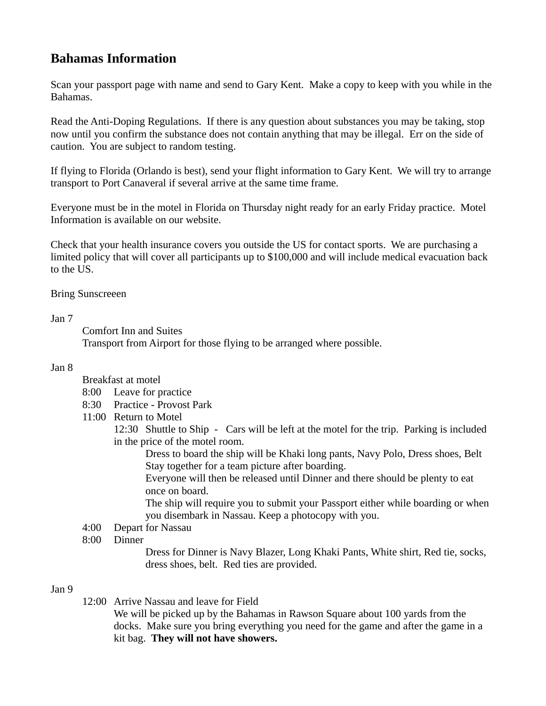# **Bahamas Information**

Scan your passport page with name and send to Gary Kent. Make a copy to keep with you while in the Bahamas.

Read the Anti-Doping Regulations. If there is any question about substances you may be taking, stop now until you confirm the substance does not contain anything that may be illegal. Err on the side of caution. You are subject to random testing.

If flying to Florida (Orlando is best), send your flight information to Gary Kent. We will try to arrange transport to Port Canaveral if several arrive at the same time frame.

Everyone must be in the motel in Florida on Thursday night ready for an early Friday practice. Motel Information is available on our website.

Check that your health insurance covers you outside the US for contact sports. We are purchasing a limited policy that will cover all participants up to \$100,000 and will include medical evacuation back to the US.

Bring Sunscreeen

Jan 7

Comfort Inn and Suites

Transport from Airport for those flying to be arranged where possible.

## Jan 8

- Breakfast at motel
- 8:00 Leave for practice
- 8:30 Practice Provost Park
- 11:00 Return to Motel

 12:30 Shuttle to Ship - Cars will be left at the motel for the trip. Parking is included in the price of the motel room.

Dress to board the ship will be Khaki long pants, Navy Polo, Dress shoes, Belt Stay together for a team picture after boarding.

Everyone will then be released until Dinner and there should be plenty to eat once on board.

The ship will require you to submit your Passport either while boarding or when you disembark in Nassau. Keep a photocopy with you.

- 4:00 Depart for Nassau
- 8:00 Dinner

Dress for Dinner is Navy Blazer, Long Khaki Pants, White shirt, Red tie, socks, dress shoes, belt. Red ties are provided.

## Jan 9

12:00 Arrive Nassau and leave for Field

We will be picked up by the Bahamas in Rawson Square about 100 yards from the docks. Make sure you bring everything you need for the game and after the game in a kit bag. **They will not have showers.**